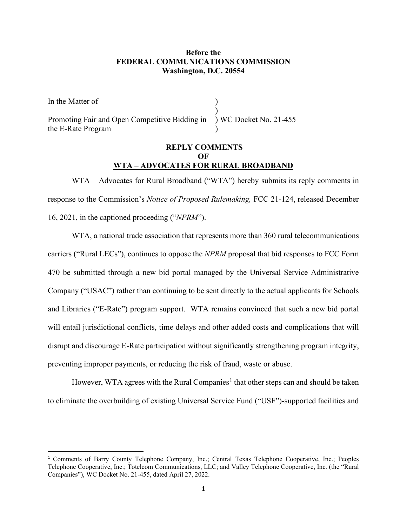## **Before the FEDERAL COMMUNICATIONS COMMISSION Washington, D.C. 20554**

In the Matter of ) Promoting Fair and Open Competitive Bidding in ) WC Docket No. 21-455 the E-Rate Program

## **REPLY COMMENTS OF WTA – ADVOCATES FOR RURAL BROADBAND**

WTA – Advocates for Rural Broadband ("WTA") hereby submits its reply comments in response to the Commission's *Notice of Proposed Rulemaking,* FCC 21-124, released December 16, 2021, in the captioned proceeding ("*NPRM*").

WTA, a national trade association that represents more than 360 rural telecommunications carriers ("Rural LECs"), continues to oppose the *NPRM* proposal that bid responses to FCC Form 470 be submitted through a new bid portal managed by the Universal Service Administrative Company ("USAC") rather than continuing to be sent directly to the actual applicants for Schools and Libraries ("E-Rate") program support. WTA remains convinced that such a new bid portal will entail jurisdictional conflicts, time delays and other added costs and complications that will disrupt and discourage E-Rate participation without significantly strengthening program integrity, preventing improper payments, or reducing the risk of fraud, waste or abuse.

However, WTA agrees with the Rural Companies<sup>[1](#page-0-0)</sup> that other steps can and should be taken to eliminate the overbuilding of existing Universal Service Fund ("USF")-supported facilities and

<span id="page-0-0"></span><sup>1</sup> Comments of Barry County Telephone Company, Inc.; Central Texas Telephone Cooperative, Inc.; Peoples Telephone Cooperative, Inc.; Totelcom Communications, LLC; and Valley Telephone Cooperative, Inc. (the "Rural Companies"), WC Docket No. 21-455, dated April 27, 2022.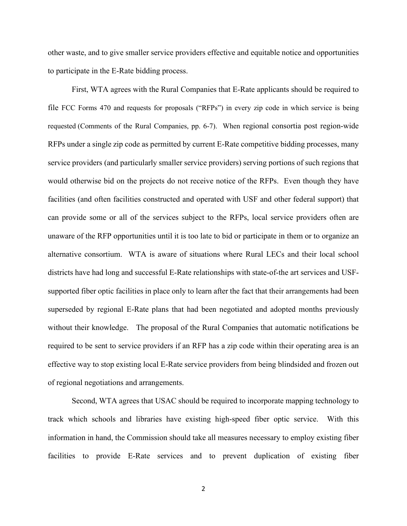other waste, and to give smaller service providers effective and equitable notice and opportunities to participate in the E-Rate bidding process.

First, WTA agrees with the Rural Companies that E-Rate applicants should be required to file FCC Forms 470 and requests for proposals ("RFPs") in every zip code in which service is being requested (Comments of the Rural Companies, pp. 6-7). When regional consortia post region-wide RFPs under a single zip code as permitted by current E-Rate competitive bidding processes, many service providers (and particularly smaller service providers) serving portions of such regions that would otherwise bid on the projects do not receive notice of the RFPs. Even though they have facilities (and often facilities constructed and operated with USF and other federal support) that can provide some or all of the services subject to the RFPs, local service providers often are unaware of the RFP opportunities until it is too late to bid or participate in them or to organize an alternative consortium. WTA is aware of situations where Rural LECs and their local school districts have had long and successful E-Rate relationships with state-of-the art services and USFsupported fiber optic facilities in place only to learn after the fact that their arrangements had been superseded by regional E-Rate plans that had been negotiated and adopted months previously without their knowledge. The proposal of the Rural Companies that automatic notifications be required to be sent to service providers if an RFP has a zip code within their operating area is an effective way to stop existing local E-Rate service providers from being blindsided and frozen out of regional negotiations and arrangements.

Second, WTA agrees that USAC should be required to incorporate mapping technology to track which schools and libraries have existing high-speed fiber optic service. With this information in hand, the Commission should take all measures necessary to employ existing fiber facilities to provide E-Rate services and to prevent duplication of existing fiber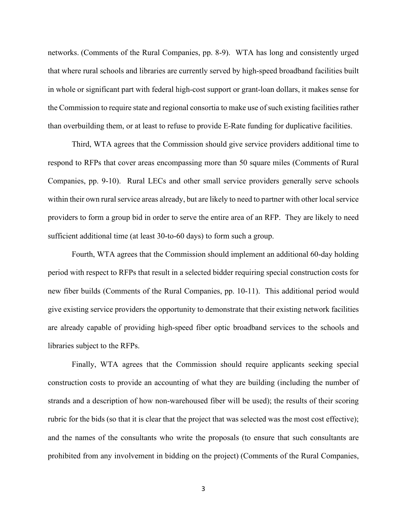networks. (Comments of the Rural Companies, pp. 8-9). WTA has long and consistently urged that where rural schools and libraries are currently served by high-speed broadband facilities built in whole or significant part with federal high-cost support or grant-loan dollars, it makes sense for the Commission to require state and regional consortia to make use of such existing facilities rather than overbuilding them, or at least to refuse to provide E-Rate funding for duplicative facilities.

Third, WTA agrees that the Commission should give service providers additional time to respond to RFPs that cover areas encompassing more than 50 square miles (Comments of Rural Companies, pp. 9-10). Rural LECs and other small service providers generally serve schools within their own rural service areas already, but are likely to need to partner with other local service providers to form a group bid in order to serve the entire area of an RFP. They are likely to need sufficient additional time (at least 30-to-60 days) to form such a group.

Fourth, WTA agrees that the Commission should implement an additional 60-day holding period with respect to RFPs that result in a selected bidder requiring special construction costs for new fiber builds (Comments of the Rural Companies, pp. 10-11). This additional period would give existing service providers the opportunity to demonstrate that their existing network facilities are already capable of providing high-speed fiber optic broadband services to the schools and libraries subject to the RFPs.

Finally, WTA agrees that the Commission should require applicants seeking special construction costs to provide an accounting of what they are building (including the number of strands and a description of how non-warehoused fiber will be used); the results of their scoring rubric for the bids (so that it is clear that the project that was selected was the most cost effective); and the names of the consultants who write the proposals (to ensure that such consultants are prohibited from any involvement in bidding on the project) (Comments of the Rural Companies,